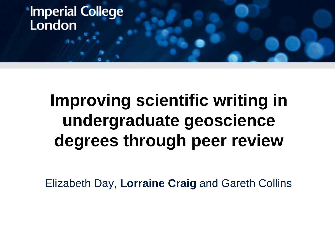# **Improving scientific writing in undergraduate geoscience degrees through peer review**

Elizabeth Day, **Lorraine Craig** and Gareth Collins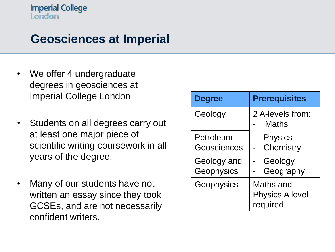## **Geosciences at Imperial**

- We offer 4 undergraduate degrees in geosciences at Imperial College London
- Students on all degrees carry out at least one major piece of scientific writing coursework in all years of the degree.
- Many of our students have not written an essay since they took GCSEs, and are not necessarily confident writers.

| <b>Degree</b>             | <b>Prerequisites</b>                             |
|---------------------------|--------------------------------------------------|
| Geology                   | 2 A-levels from:<br>Maths                        |
| Petroleum<br>Geosciences  | <b>Physics</b><br>Chemistry                      |
| Geology and<br>Geophysics | Geology<br>Geography                             |
| Geophysics                | Maths and<br><b>Physics A level</b><br>required. |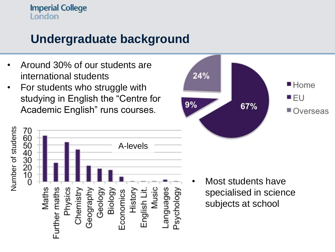## **Undergraduate background**

- Around 30% of our students are international students
- For students who struggle with studying in English the "Centre for Academic English" runs courses.





• Most students have specialised in science subjects at school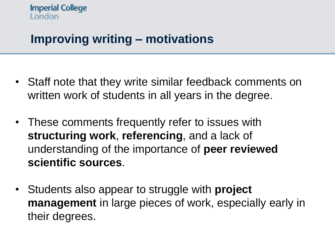## **Improving writing – motivations**

- Staff note that they write similar feedback comments on written work of students in all years in the degree.
- These comments frequently refer to issues with **structuring work**, **referencing**, and a lack of understanding of the importance of **peer reviewed scientific sources**.
- Students also appear to struggle with **project management** in large pieces of work, especially early in their degrees.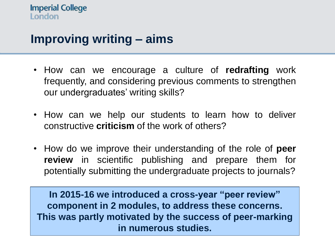## **Improving writing – aims**

- How can we encourage a culture of **redrafting** work frequently, and considering previous comments to strengthen our undergraduates' writing skills?
- How can we help our students to learn how to deliver constructive **criticism** of the work of others?
- How do we improve their understanding of the role of **peer review** in scientific publishing and prepare them for potentially submitting the undergraduate projects to journals?

**In 2015-16 we introduced a cross-year "peer review" component in 2 modules, to address these concerns. This was partly motivated by the success of peer-marking in numerous studies.**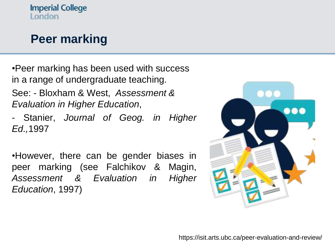## **Peer marking**

•Peer marking has been used with success in a range of undergraduate teaching. See: - Bloxham & West, *Assessment & Evaluation in Higher Education*,

- Stanier, *Journal of Geog. in Higher Ed.,*1997

•However, there can be gender biases in peer marking (see Falchikov & Magin, *Assessment & Evaluation in Higher Education*, 1997)

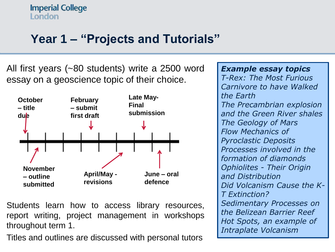## **Year 1 – "Projects and Tutorials"**

All first years (~80 students) write a 2500 word essay on a geoscience topic of their choice.



Students learn how to access library resources, report writing, project management in workshops throughout term 1.

Titles and outlines are discussed with personal tutors

*Example essay topics T-Rex: The Most Furious Carnivore to have Walked the Earth The Precambrian explosion and the Green River shales The Geology of Mars Flow Mechanics of Pyroclastic Deposits Processes involved in the formation of diamonds Ophiolites - Their Origin and Distribution Did Volcanism Cause the K-T Extinction? Sedimentary Processes on the Belizean Barrier Reef Hot Spots, an example of Intraplate Volcanism*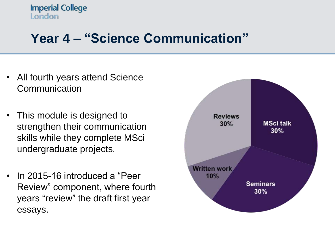## **Year 4 – "Science Communication"**

- All fourth years attend Science **Communication**
- This module is designed to strengthen their communication skills while they complete MSci undergraduate projects.
- In 2015-16 introduced a "Peer Review" component, where fourth years "review" the draft first year essays.

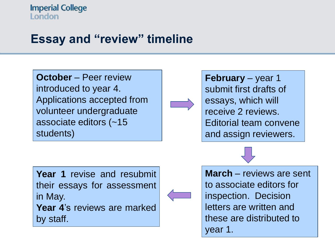## **Essay and "review" timeline**

**October** – Peer review introduced to year 4. Applications accepted from volunteer undergraduate associate editors (~15 students)

**Year 1** revise and resubmit their essays for assessment in May.

**Year 4**'s reviews are marked by staff.

**February** – year 1 submit first drafts of essays, which will receive 2 reviews. Editorial team convene and assign reviewers.

**March** – reviews are sent to associate editors for inspection. Decision letters are written and these are distributed to year 1.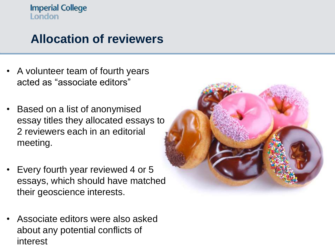## **Allocation of reviewers**

- A volunteer team of fourth years acted as "associate editors"
- Based on a list of anonymised essay titles they allocated essays to 2 reviewers each in an editorial meeting.
- Every fourth year reviewed 4 or 5 essays, which should have matched their geoscience interests.
- Associate editors were also asked about any potential conflicts of interest

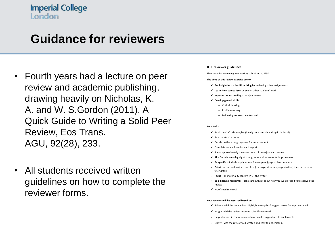### **Guidance for reviewers**

- Fourth years had a lecture on peer review and academic publishing, drawing heavily on Nicholas, K. A. and W. S.Gordon (2011), A Quick Guide to Writing a Solid Peer Review, Eos Trans. AGU, 92(28), 233.
- All students received written guidelines on how to complete the reviewer forms.

#### **JESE** reviewer guidelines

Thank you for reviewing manuscripts submitted to JESE

#### The aims of this review exercise are to:

- $\checkmark$  Get insight into scientific writing by reviewing other assignments
- $\checkmark$  Learn from comparison by seeing other students' work
- $\checkmark$  Improve understanding of subject matter
- ü Develop **generic skills**
	- Critical thinking
	- Problem solving
	- Delivering constructive feedback

#### **Your tasks:**

- $\checkmark$  Read the drafts thoroughly (ideally once quickly and again in detail)
- $\checkmark$  Annotate/make notes
- $\checkmark$  Decide on the strengths/areas for improvement
- $\checkmark$  Complete review form for each report
- $\checkmark$  Spend approximately the same time (~2 hours) on each review
- $\checkmark$  Aim for balance highlight strengths as well as areas for improvement
- $\checkmark$  **Be specific** include explanations & examples (page or line numbers)
- $\checkmark$  Prioritise attend major issues first (message, structure, organisation) then move onto finer detail
- $\checkmark$  **Focus** on material & content (NOT the writer)
- ü **Be diligent & respectful** – take care & think about how you would feel if you received the review
- $\checkmark$  Proof-read reviews!

#### Your reviews will be assessed based on:

- $\checkmark$  Balance did the review both highlight strengths & suggest areas for improvement?
- $\checkmark$  Insight did the review improve scientific content?
- $\checkmark$  Helpfulness did the review contain specific suggestions to implement?
- ü Clarity- was the review well-written and easy to understand?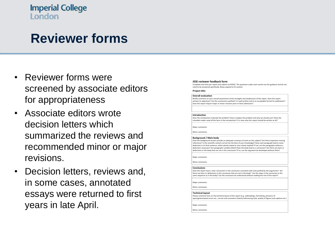## **Reviewer forms**

- Reviewer forms were screened by associate editors for appropriateness
- Associate editors wrote decision letters which summarized the reviews and recommended minor or major revisions.
- Decision letters, reviews and, in some cases, annotated essays were returned to first years in late April.

#### **JESE reviewer feedback form**

Complete one form per report and submit via ESESIS. The questions under each section are for guidance and do not need to be answered specifically. Boxes expand to fit content.

#### **Project title:**

#### **Overall evaluation**

Briefly comment on your overall assessment of the strengths and weaknesses of the report. Does the report achieve its objectives? Are the conclusions justified? Is it well written and in an acceptable format for publication? Does the report require major or minor revisions prior to final submission?

#### **Introduction**

Does the introduction motivate the problem? Does it explain the problem and why we should care? Does the ntended reader need all the facts in the introduction? Is it clear why this report should be written at all?

Major comments

Minor comments

#### **Background / Main body**

Does the background section provide an adequate summary of work on this subject? Are there important missing references? Is the scientific content correct (to the best of your knowledge)? Does each paragraph lead to some deduction in its final sentence, either plainly stated or very clearly implied? If not, are the paragraphs without a deduction necessary? Are paragraphs suitably linked? Does the body lead to a conclusion? Are there any facts or deductions in the body that are not in the conclusion? If so, can the argument be developed without them?

Major comments: 

Minor comment:

#### **Conclusions**

Does the report have a clear conclusion? Is the conclusion consistent with and justified by the arguments? Are there any facts or deductions in the conclusion that are not in the body? Are the steps in the conclusion in the same sequence as in the body? Can the conclusion be understood without reading the rest of the report?

Major comments: 

Minor comment:

#### **Technical layout**

Please comment here on the technical layout of the report (e.g. subheadings, formatting, presence of typos/grammatical errors etc., correct and consistent citation/referencing style, quality of figures and captions etc.

Major comments

Minor comments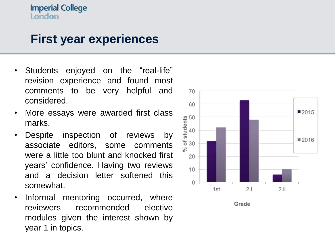### **First year experiences**

- Students enjoyed on the "real-life" revision experience and found most comments to be very helpful and considered.
- More essays were awarded first class marks.
- Despite inspection of reviews by associate editors, some comments were a little too blunt and knocked first years' confidence. Having two reviews and a decision letter softened this somewhat.
- Informal mentoring occurred, where reviewers recommended elective modules given the interest shown by year 1 in topics.

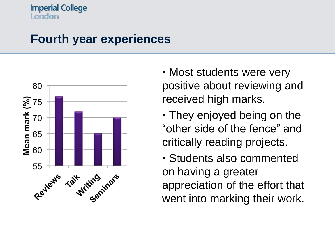### **Fourth year experiences**



- Most students were very positive about reviewing and received high marks.
- They enjoyed being on the "other side of the fence" and critically reading projects.

• Students also commented on having a greater appreciation of the effort that went into marking their work.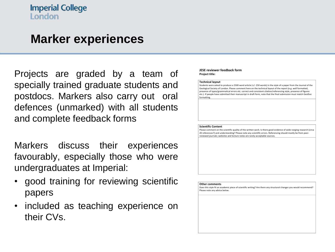### **Marker experiences**

Projects are graded by a team of specially trained graduate students and postdocs. Markers also carry out oral defences (unmarked) with all students and complete feedback forms

Markers discuss their experiences favourably, especially those who were undergraduates at Imperial:

- good training for reviewing scientific papers
- included as teaching experience on their CVs.

#### **JESE reviewer feedback form Project title:**

#### **Technical layout**

Students were asked to produce a 2500 word article  $(+/- 250$  words) in the style of a paper from the Journal of the Geological Society of London. Please comment here on the technical layout of the report (e.g. well formatted, presence of typos/grammatical errors etc. correct and consistent citation/referencing style, presence of figures etc.). If people have submitted their manuscript in draft form, note that the final submission must match GeolSoc formatting. 

#### **Scientific Content**

Please comment on the scientific quality of the written work. Is there good evidence of wide ranging research (circa 20 references?) and understanding? Please note any scientific errors. Referencing should mostly be from peerreviewed iournals; websites and lecture notes are rarely acceptable sources

#### **Other comments**

Does this style fit an academic piece of scientific writing? Are there any structural changes you would recommend? Please note any advice below.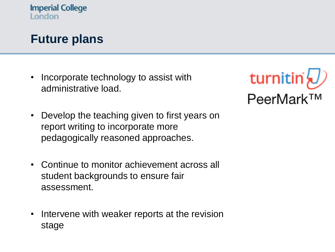### **Future plans**

• Incorporate technology to assist with administrative load.



- Develop the teaching given to first years on report writing to incorporate more pedagogically reasoned approaches.
- Continue to monitor achievement across all student backgrounds to ensure fair assessment.
- Intervene with weaker reports at the revision stage